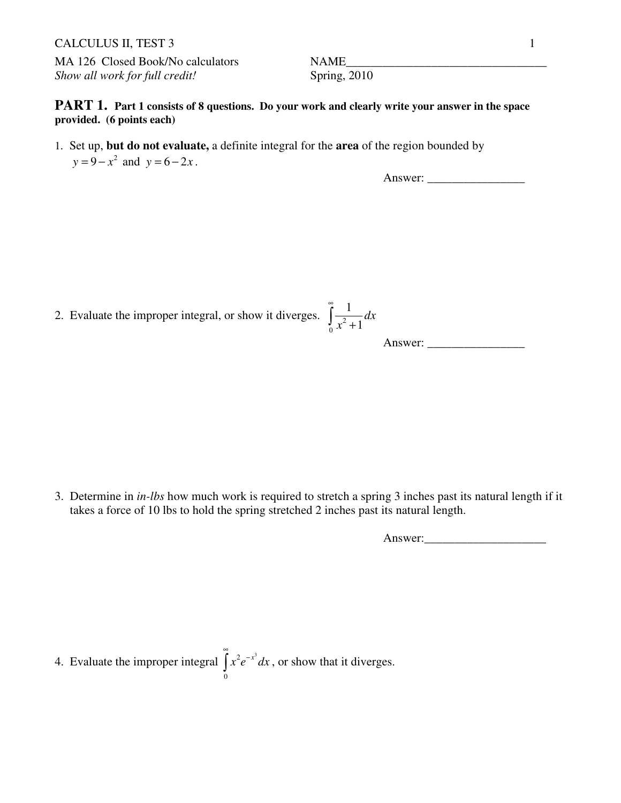## CALCULUS II, TEST 3 1

MA 126 Closed Book/No calculators NAME *Show all work for full credit!* Spring, 2010

**PART 1.** Part 1 consists of 8 questions. Do your work and clearly write your answer in the space **provided. (6 points each)** 

1. Set up, **but do not evaluate,** a definite integral for the **area** of the region bounded by  $y = 9 - x^2$  and  $y = 6 - 2x$ .

Answer: \_\_\_\_\_\_\_\_\_\_\_\_\_\_\_\_

2. Evaluate the improper integral, or show it diverges.  $\int \frac{1}{x^2}$ 1 *x* ∞  $\int \frac{1}{x^2 +}$ 

Answer: 
$$
\int_{1}^{1} \frac{1}{x^2 + 1}
$$
 Answer:

*dx*

0

3. Determine in *in-lbs* how much work is required to stretch a spring 3 inches past its natural length if it takes a force of 10 lbs to hold the spring stretched 2 inches past its natural length.

Answer:

4. Evaluate the improper integral  $\int x^2 e^{-x^3}$ 0  $x^2 e^{-x^3} dx$ ∞  $\int x^2 e^{-x^3} dx$ , or show that it diverges.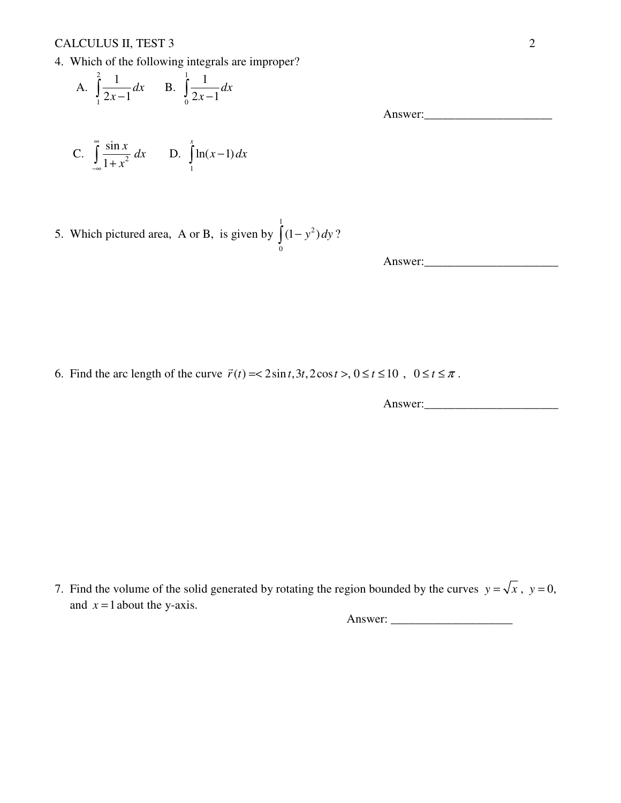CALCULUS II, TEST 3 2

4. Which of the following integrals are improper?

A. 
$$
\int_{1}^{2} \frac{1}{2x-1} dx
$$
 B.  $\int_{0}^{1} \frac{1}{2x-1} dx$ 

C. 
$$
\int_{-\infty}^{\infty} \frac{\sin x}{1 + x^2} dx
$$
 D.  $\int_{1}^{x} \ln(x - 1) dx$ 

5. Which pictured area, A or B, is given by 1 2 0  $\int (1 - y^2) dy$ ?

Answer:\_\_\_\_\_\_\_\_\_\_\_\_\_\_\_\_\_\_\_\_\_\_

Answer:\_\_\_\_\_\_\_\_\_\_\_\_\_\_\_\_\_\_\_\_\_

6. Find the arc length of the curve  $\vec{r}(t) = < 2\sin t, 3t, 2\cos t > 0 \le t \le 10$ ,  $0 \le t \le \pi$ .

Answer:

7. Find the volume of the solid generated by rotating the region bounded by the curves  $y = \sqrt{x}$ ,  $y = 0$ , and  $x = 1$  about the y-axis.

Answer: \_\_\_\_\_\_\_\_\_\_\_\_\_\_\_\_\_\_\_\_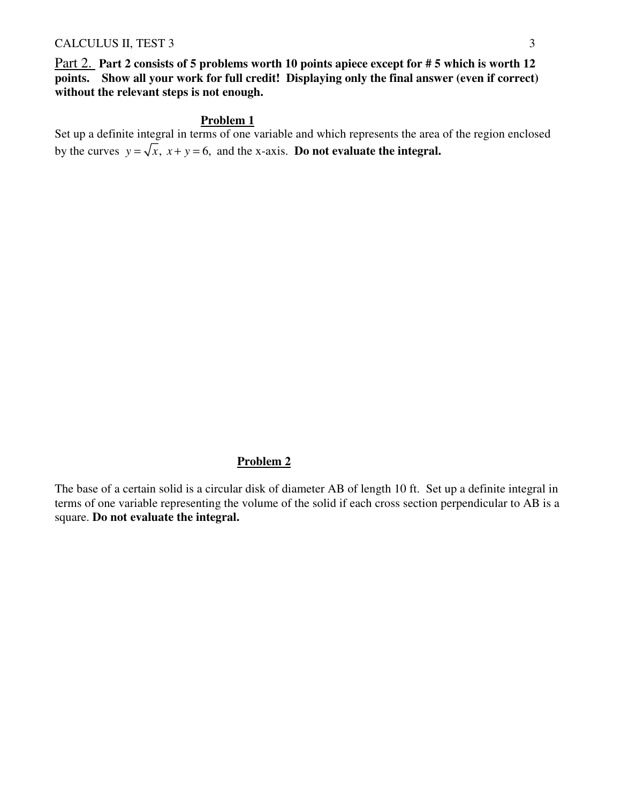#### CALCULUS II, TEST 3 3

Part 2. **Part 2 consists of 5 problems worth 10 points apiece except for # 5 which is worth 12 points. Show all your work for full credit! Displaying only the final answer (even if correct) without the relevant steps is not enough.** 

### **Problem 1**

Set up a definite integral in terms of one variable and which represents the area of the region enclosed by the curves  $y = \sqrt{x}$ ,  $x + y = 6$ , and the x-axis. **Do not evaluate the integral.** 

## **Problem 2**

The base of a certain solid is a circular disk of diameter AB of length 10 ft. Set up a definite integral in terms of one variable representing the volume of the solid if each cross section perpendicular to AB is a square. **Do not evaluate the integral.**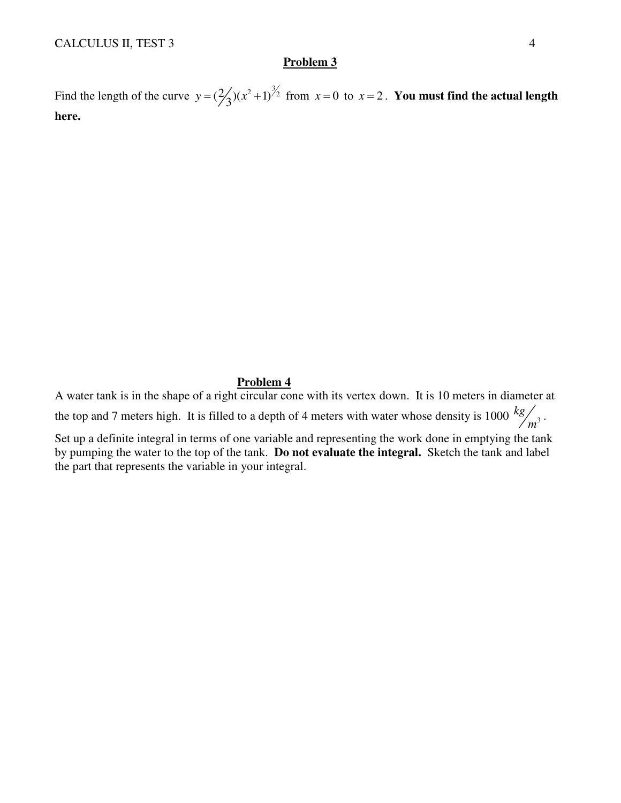### **Problem 3**

Find the length of the curve  $y = (\frac{2}{3})(x^2 + 1)^{\frac{3}{2}}$  from  $x = 0$  to  $x = 2$ . You must find the actual length **here.** 

#### **Problem 4**

A water tank is in the shape of a right circular cone with its vertex down. It is 10 meters in diameter at the top and 7 meters high. It is filled to a depth of 4 meters with water whose density is 1000  $kg_{\text{gas}}$ <sup>3</sup> /<br>m<sup>3</sup> ·

Set up a definite integral in terms of one variable and representing the work done in emptying the tank by pumping the water to the top of the tank. **Do not evaluate the integral.** Sketch the tank and label the part that represents the variable in your integral.